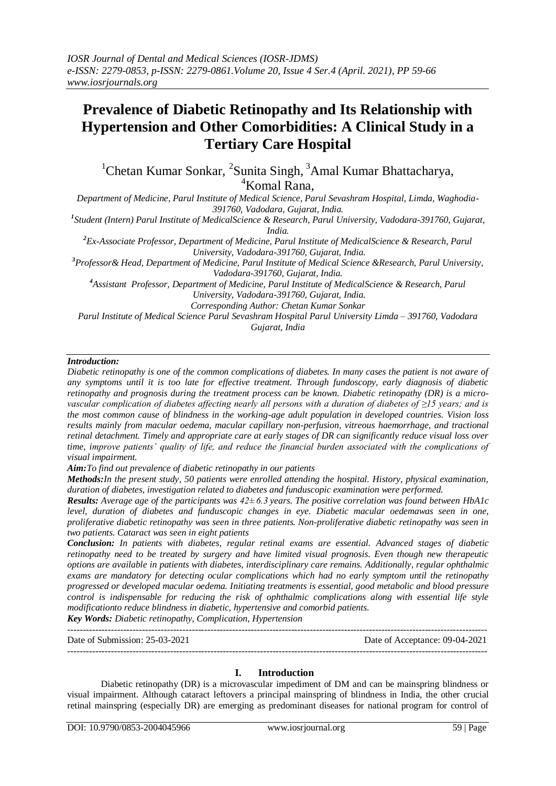# **Prevalence of Diabetic Retinopathy and Its Relationship with Hypertension and Other Comorbidities: A Clinical Study in a Tertiary Care Hospital**

<sup>1</sup>Chetan Kumar Sonkar, <sup>2</sup>Sunita Singh, <sup>3</sup>Amal Kumar Bhattacharya, <sup>4</sup>Komal Rana.

*Department of Medicine, Parul Institute of Medical Science, Parul Sevashram Hospital, Limda, Waghodia-391760, Vadodara, Gujarat, India.*

*1 Student (Intern) Parul Institute of MedicalScience & Research, Parul University, Vadodara-391760, Gujarat, India.*

*<sup>2</sup>Ex-Associate Professor, Department of Medicine, Parul Institute of MedicalScience & Research, Parul University, Vadodara-391760, Gujarat, India.*

*<sup>3</sup>Professor& Head, Department of Medicine, Parul Institute of Medical Science &Research, Parul University, Vadodara-391760, Gujarat, India.*

*<sup>4</sup>Assistant Professor, Department of Medicine, Parul Institute of MedicalScience & Research, Parul University, Vadodara-391760, Gujarat, India.*

*Corresponding Author: Chetan Kumar Sonkar*

*Parul Institute of Medical Science Parul Sevashram Hospital Parul University Limda – 391760, Vadodara Gujarat, India*

## *Introduction:*

*Diabetic retinopathy is one of the common complications of diabetes. In many cases the patient is not aware of any symptoms until it is too late for effective treatment. Through fundoscopy, early diagnosis of diabetic retinopathy and prognosis during the treatment process can be known. Diabetic retinopathy (DR) is a microvascular complication of diabetes affecting nearly all persons with a duration of diabetes of ≥15 years; and is the most common cause of blindness in the working-age adult population in developed countries. Vision loss results mainly from macular oedema, macular capillary non-perfusion, vitreous haemorrhage, and tractional retinal detachment. Timely and appropriate care at early stages of DR can significantly reduce visual loss over time, improve patients' quality of life, and reduce the financial burden associated with the complications of visual impairment.*

*Aim:To find out prevalence of diabetic retinopathy in our patients*

*Methods:In the present study, 50 patients were enrolled attending the hospital. History, physical examination, duration of diabetes, investigation related to diabetes and funduscopic examination were performed.* 

*Results: Average age of the participants was 42± 6.3 years. The positive correlation was found between HbA1c level, duration of diabetes and funduscopic changes in eye. Diabetic macular oedemawas seen in one, proliferative diabetic retinopathy was seen in three patients. Non-proliferative diabetic retinopathy was seen in two patients. Cataract was seen in eight patients*

*Conclusion: In patients with diabetes, regular retinal exams are essential. Advanced stages of diabetic retinopathy need to be treated by surgery and have limited visual prognosis. Even though new therapeutic options are available in patients with diabetes, interdisciplinary care remains. Additionally, regular ophthalmic exams are mandatory for detecting ocular complications which had no early symptom until the retinopathy progressed or developed macular oedema. Initiating treatments is essential, good metabolic and blood pressure control is indispensable for reducing the risk of ophthalmic complications along with essential life style modificationto reduce blindness in diabetic, hypertensive and comorbid patients.*

*Key Words: Diabetic retinopathy, Complication, Hypertension*  ---------------------------------------------------------------------------------------------------------------------------------------

Date of Submission: 25-03-2021 Date of Acceptance: 09-04-2021

## **I. Introduction**

---------------------------------------------------------------------------------------------------------------------------------------

Diabetic retinopathy (DR) is a microvascular impediment of DM and can be mainspring blindness or visual impairment. Although cataract leftovers a principal mainspring of blindness in India, the other crucial retinal mainspring (especially DR) are emerging as predominant diseases for national program for control of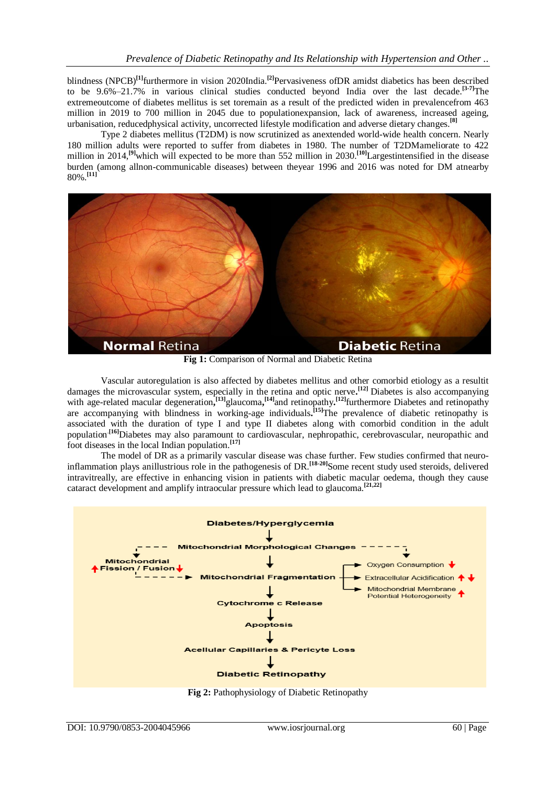blindness (NPCB)**[1]** furthermore in vision 2020India.**[2]** Pervasiveness ofDR amidst diabetics has been described to be 9.6%–21.7% in various clinical studies conducted beyond India over the last decade. **[3-7]**The extremeoutcome of diabetes mellitus is set toremain as a result of the predicted widen in prevalencefrom 463 million in 2019 to 700 million in 2045 due to populationexpansion, lack of awareness, increased ageing, urbanisation, reducedphysical activity, uncorrected lifestyle modification and adverse dietary changes. **[8]**

Type 2 diabetes mellitus (T2DM) is now scrutinized as anextended world-wide health concern. Nearly 180 million adults were reported to suffer from diabetes in 1980. The number of T2DMameliorate to 422 million in 2014, **[9]**which will expected to be more than 552 million in 2030. **[10]**Largestintensified in the disease burden (among allnon-communicable diseases) between theyear 1996 and 2016 was noted for DM atnearby 80%. **[11]**



**Fig 1:** Comparison of Normal and Diabetic Retina

Vascular autoregulation is also affected by diabetes mellitus and other comorbid etiology as a resultit damages the microvascular system, especially in the retina and optic nerve**. [12]** Diabetes is also accompanying with age-related macular degeneration,<sup>[13]</sup> glaucoma,<sup>[14]</sup> and retinopathy.<sup>[12]</sup> furthermore Diabetes and retinopathy are accompanying with blindness in working-age individuals**. [15]**The prevalence of diabetic retinopathy is associated with the duration of type I and type II diabetes along with comorbid condition in the adult population<sup>[16]</sup>Diabetes may also paramount to cardiovascular, nephropathic, cerebrovascular, neuropathic and foot diseases in the local Indian population. **[17]**

The model of DR as a primarily vascular disease was chase further. Few studies confirmed that neuroinflammation plays anillustrious role in the pathogenesis of DR. **[18-20]** Some recent study used steroids, delivered intravitreally, are effective in enhancing vision in patients with diabetic macular oedema, though they cause cataract development and amplify intraocular pressure which lead to glaucoma. **[21,22]**



**Fig 2:** Pathophysiology of Diabetic Retinopathy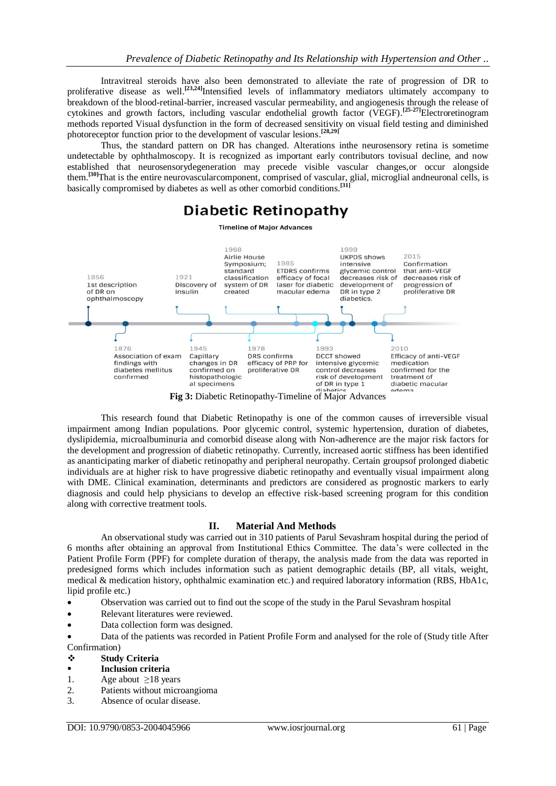Intravitreal steroids have also been demonstrated to alleviate the rate of progression of DR to proliferative disease as well.<sup>[23,24]</sup>Intensified levels of inflammatory mediators ultimately accompany to breakdown of the blood-retinal-barrier, increased vascular permeability, and angiogenesis through the release of cytokines and growth factors, including vascular endothelial growth factor (VEGF). **[25-27]**Electroretinogram methods reported Visual dysfunction in the form of decreased sensitivity on visual field testing and diminished photoreceptor function prior to the development of vascular lesions. **[28,29]**

Thus, the standard pattern on DR has changed. Alterations inthe neurosensory retina is sometime undetectable by ophthalmoscopy. It is recognized as important early contributors tovisual decline, and now established that neurosensorydegeneration may precede visible vascular changes,or occur alongside them. **[30]**That is the entire neurovascularcomponent, comprised of vascular, glial, microglial andneuronal cells, is basically compromised by diabetes as well as other comorbid conditions. **[31]**

## **Diabetic Retinopathy**

**Timeline of Major Advances** 



**Fig 3:** Diabetic Retinopathy-Timeline of Major Advances

This research found that Diabetic Retinopathy is one of the common causes of irreversible visual impairment among Indian populations. Poor glycemic control, systemic hypertension, duration of diabetes, dyslipidemia, microalbuminuria and comorbid disease along with Non-adherence are the major risk factors for the development and progression of diabetic retinopathy. Currently, increased aortic stiffness has been identified as ananticipating marker of diabetic retinopathy and peripheral neuropathy. Certain groupsof prolonged diabetic individuals are at higher risk to have progressive diabetic retinopathy and eventually visual impairment along with DME. Clinical examination, determinants and predictors are considered as prognostic markers to early diagnosis and could help physicians to develop an effective risk-based screening program for this condition along with corrective treatment tools.

## **II. Material And Methods**

An observational study was carried out in 310 patients of Parul Sevashram hospital during the period of 6 months after obtaining an approval from Institutional Ethics Committee. The data's were collected in the Patient Profile Form (PPF) for complete duration of therapy, the analysis made from the data was reported in predesigned forms which includes information such as patient demographic details (BP, all vitals, weight, medical & medication history, ophthalmic examination etc.) and required laboratory information (RBS, HbA1c, lipid profile etc.)

- Observation was carried out to find out the scope of the study in the Parul Sevashram hospital
- Relevant literatures were reviewed.
- Data collection form was designed.

 Data of the patients was recorded in Patient Profile Form and analysed for the role of (Study title After Confirmation)

- **Study Criteria**
- **Inclusion criteria**
- 1. Age about  $\geq$ 18 years
- 2. Patients without microangioma
- 3. Absence of ocular disease.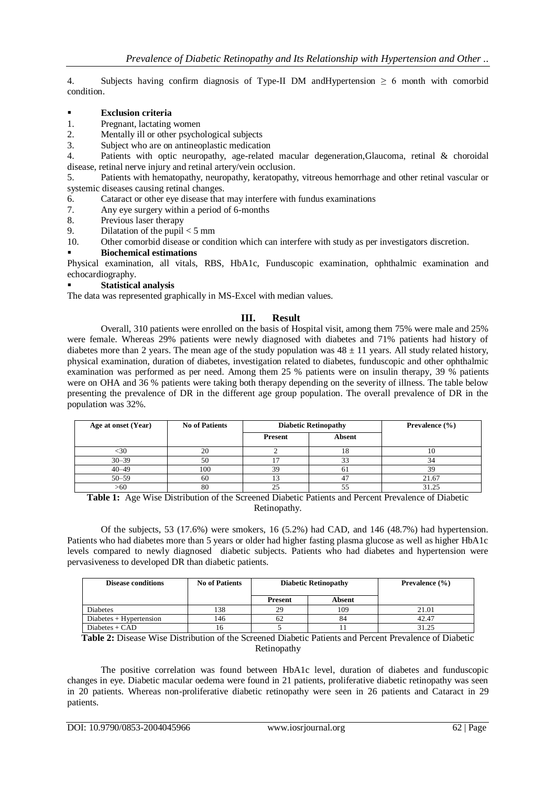4. Subjects having confirm diagnosis of Type-II DM andHypertension  $\geq 6$  month with comorbid condition.

#### **Exclusion criteria**

1. Pregnant, lactating women

2. Mentally ill or other psychological subjects

3. Subject who are on antineoplastic medication

4. Patients with optic neuropathy, age-related macular degeneration,Glaucoma, retinal & choroidal disease, retinal nerve injury and retinal artery/vein occlusion.

5. Patients with hematopathy, neuropathy, keratopathy, vitreous hemorrhage and other retinal vascular or systemic diseases causing retinal changes.

- 6. Cataract or other eye disease that may interfere with fundus examinations
- 7. Any eye surgery within a period of 6-months
- 8. Previous laser therapy
- 9. Dilatation of the pupil  $<$  5 mm
- 10. Other comorbid disease or condition which can interfere with study as per investigators discretion.

#### **Biochemical estimations**

Physical examination, all vitals, RBS, HbA1c, Funduscopic examination, ophthalmic examination and echocardiography.

#### **Statistical analysis**

The data was represented graphically in MS-Excel with median values.

## **III. Result**

Overall, 310 patients were enrolled on the basis of Hospital visit, among them 75% were male and 25% were female. Whereas 29% patients were newly diagnosed with diabetes and 71% patients had history of diabetes more than 2 years. The mean age of the study population was  $48 \pm 11$  years. All study related history, physical examination, duration of diabetes, investigation related to diabetes, funduscopic and other ophthalmic examination was performed as per need. Among them 25 % patients were on insulin therapy, 39 % patients were on OHA and 36 % patients were taking both therapy depending on the severity of illness. The table below presenting the prevalence of DR in the different age group population. The overall prevalence of DR in the population was 32%.

| Age at onset (Year) | <b>No of Patients</b> | <b>Diabetic Retinopathy</b> |        | <b>Prevalence</b> $(\% )$ |
|---------------------|-----------------------|-----------------------------|--------|---------------------------|
|                     |                       | Present                     | Absent |                           |
| :30                 | 20                    |                             |        |                           |
| $30 - 39$           | 50                    |                             |        |                           |
| $40 - 49$           | 100                   | 39                          | n i    | ЗS                        |
| $50 - 59$           | 60                    |                             |        | 21.67                     |
| >60                 | 80                    |                             |        | 31.25                     |

**Table 1:** Age Wise Distribution of the Screened Diabetic Patients and Percent Prevalence of Diabetic Retinopathy.

Of the subjects, 53 (17.6%) were smokers, 16 (5.2%) had CAD, and 146 (48.7%) had hypertension. Patients who had diabetes more than 5 years or older had higher fasting plasma glucose as well as higher HbA1c levels compared to newly diagnosed diabetic subjects. Patients who had diabetes and hypertension were pervasiveness to developed DR than diabetic patients.

| <b>Disease conditions</b> | <b>No of Patients</b> | <b>Diabetic Retinopathy</b> |        | <b>Prevalence</b> $(\% )$ |
|---------------------------|-----------------------|-----------------------------|--------|---------------------------|
|                           |                       | <b>Present</b>              | Absent |                           |
| Diabetes                  | 138                   | 29                          | 109    | 21.01                     |
| $Diabetes + Hypertension$ | 146                   | 62                          | 84     | 42.47                     |
| $Diabetes + CAD$          | 16                    |                             |        | 31.25                     |

**Table 2:** Disease Wise Distribution of the Screened Diabetic Patients and Percent Prevalence of Diabetic Retinopathy

The positive correlation was found between HbA1c level, duration of diabetes and funduscopic changes in eye. Diabetic macular oedema were found in 21 patients, proliferative diabetic retinopathy was seen in 20 patients. Whereas non-proliferative diabetic retinopathy were seen in 26 patients and Cataract in 29 patients.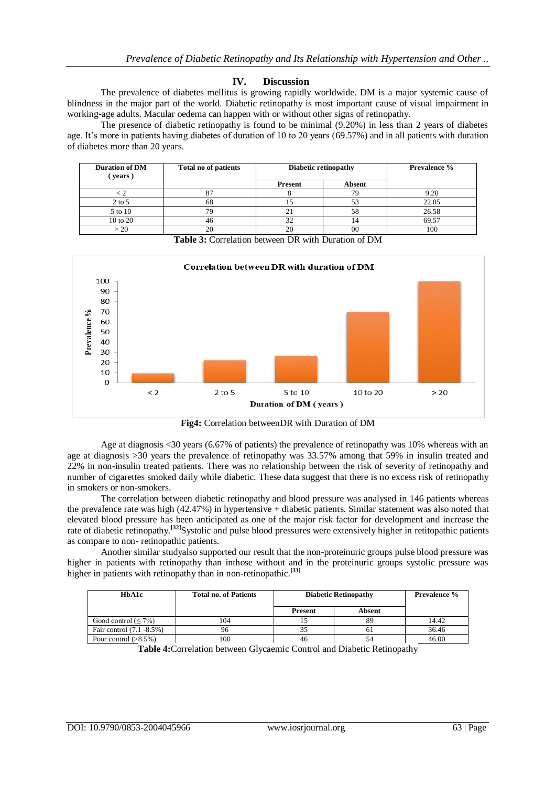#### **IV. Discussion**

The prevalence of diabetes mellitus is growing rapidly worldwide. DM is a major systemic cause of blindness in the major part of the world. Diabetic retinopathy is most important cause of visual impairment in working-age adults. Macular oedema can happen with or without other signs of retinopathy.

The presence of diabetic retinopathy is found to be minimal (9.20%) in less than 2 years of diabetes age. It's more in patients having diabetes of duration of 10 to 20 years (69.57%) and in all patients with duration of diabetes more than 20 years.

| <b>Duration of DM</b><br>(years) | Total no of patients | Diabetic retinopathy |        | <b>Prevalence %</b> |
|----------------------------------|----------------------|----------------------|--------|---------------------|
|                                  |                      | Present              | Absent |                     |
|                                  | o,                   |                      | 79     | 9.20                |
| $2$ to 5                         | 68                   |                      | 53     | 22.05               |
| 5 to 10                          | 79                   |                      | 58     | 26.58               |
| 10 to 20                         | 46                   |                      |        | 69.57               |
| $\sim 20$                        | 20                   | 20                   | 00     | 100                 |



**Table 3:** Correlation between DR with Duration of DM

**Fig4:** Correlation betweenDR with Duration of DM

Age at diagnosis <30 years (6.67% of patients) the prevalence of retinopathy was 10% whereas with an age at diagnosis >30 years the prevalence of retinopathy was 33.57% among that 59% in insulin treated and 22% in non-insulin treated patients. There was no relationship between the risk of severity of retinopathy and number of cigarettes smoked daily while diabetic. These data suggest that there is no excess risk of retinopathy in smokers or non-smokers.

The correlation between diabetic retinopathy and blood pressure was analysed in 146 patients whereas the prevalence rate was high (42.47%) in hypertensive + diabetic patients. Similar statement was also noted that elevated blood pressure has been anticipated as one of the major risk factor for development and increase the rate of diabetic retinopathy.<sup>[32]</sup>Systolic and pulse blood pressures were extensively higher in retitopathic patients as compare to non- retinopathic patients.

Another similar studyalso supported our result that the non-proteinuric groups pulse blood pressure was higher in patients with retinopathy than inthose without and in the proteinuric groups systolic pressure was higher in patients with retinopathy than in non-retinopathic. **[33]**

| HbA1c                     | <b>Total no. of Patients</b> | <b>Diabetic Retinopathy</b> |        | <b>Prevalence %</b> |
|---------------------------|------------------------------|-----------------------------|--------|---------------------|
|                           |                              | <b>Present</b>              | Absent |                     |
| Good control $(\leq 7\%)$ | 104                          |                             |        | 14.42               |
| Fair control (7.1 -8.5%)  | 96                           | 35                          | 61     | 36.46               |
| Poor control $(>8.5\%)$   | 100                          | 46                          |        | 46.00               |

**Table 4:**Correlation between Glycaemic Control and Diabetic Retinopathy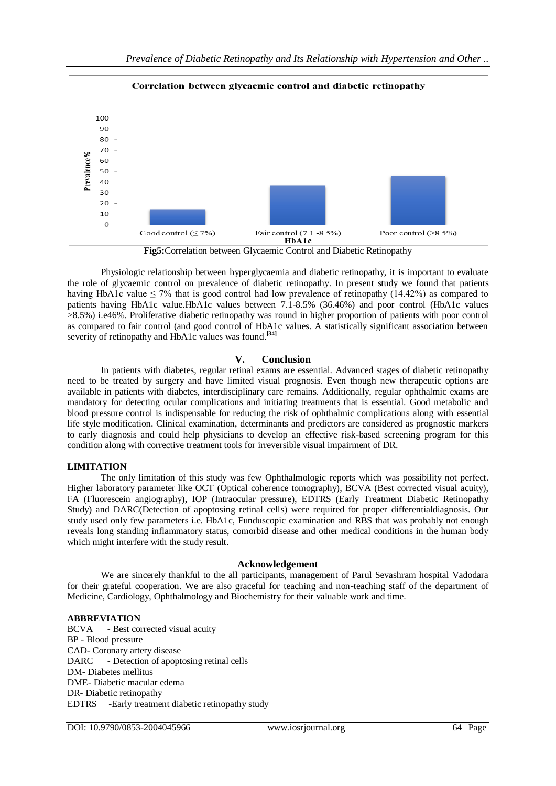

**Fig5:**Correlation between Glycaemic Control and Diabetic Retinopathy

Physiologic relationship between hyperglycaemia and diabetic retinopathy, it is important to evaluate the role of glycaemic control on prevalence of diabetic retinopathy. In present study we found that patients having HbA1c value  $\leq 7\%$  that is good control had low prevalence of retinopathy (14.42%) as compared to patients having HbA1c value.HbA1c values between 7.1-8.5% (36.46%) and poor control (HbA1c values >8.5%) i.e46%. Proliferative diabetic retinopathy was round in higher proportion of patients with poor control as compared to fair control (and good control of HbA1c values. A statistically significant association between severity of retinopathy and HbA1c values was found.<sup>[34]</sup>

## **V. Conclusion**

In patients with diabetes, regular retinal exams are essential. Advanced stages of diabetic retinopathy need to be treated by surgery and have limited visual prognosis. Even though new therapeutic options are available in patients with diabetes, interdisciplinary care remains. Additionally, regular ophthalmic exams are mandatory for detecting ocular complications and initiating treatments that is essential. Good metabolic and blood pressure control is indispensable for reducing the risk of ophthalmic complications along with essential life style modification. Clinical examination, determinants and predictors are considered as prognostic markers to early diagnosis and could help physicians to develop an effective risk-based screening program for this condition along with corrective treatment tools for irreversible visual impairment of DR.

## **LIMITATION**

The only limitation of this study was few Ophthalmologic reports which was possibility not perfect. Higher laboratory parameter like OCT (Optical coherence tomography), BCVA (Best corrected visual acuity), FA (Fluorescein angiography), IOP (Intraocular pressure), EDTRS (Early Treatment Diabetic Retinopathy Study) and DARC(Detection of apoptosing retinal cells) were required for proper differentialdiagnosis. Our study used only few parameters i.e. HbA1c, Funduscopic examination and RBS that was probably not enough reveals long standing inflammatory status, comorbid disease and other medical conditions in the human body which might interfere with the study result.

## **Acknowledgement**

We are sincerely thankful to the all participants, management of Parul Sevashram hospital Vadodara for their grateful cooperation. We are also graceful for teaching and non-teaching staff of the department of Medicine, Cardiology, Ophthalmology and Biochemistry for their valuable work and time.

## **ABBREVIATION**

BCVA - Best corrected visual acuity BP - Blood pressure CAD- Coronary artery disease DARC - Detection of apoptosing retinal cells DM- Diabetes mellitus DME- Diabetic macular edema DR- Diabetic retinopathy EDTRS -Early treatment diabetic retinopathy study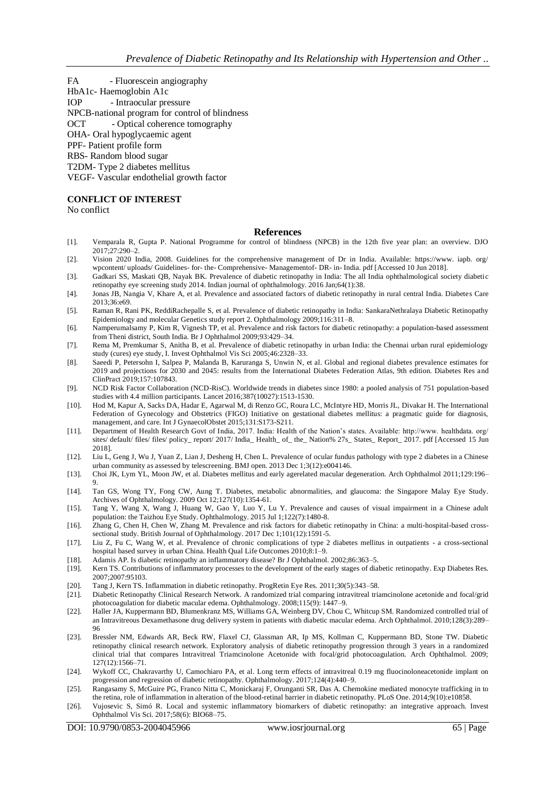- FA Fluorescein angiography
- HbA1c- Haemoglobin A1c
- IOP Intraocular pressure
- NPCB-national program for control of blindness
- OCT Optical coherence tomography

OHA- Oral hypoglycaemic agent

PPF- Patient profile form

RBS- Random blood sugar

- T2DM- Type 2 diabetes mellitus
- VEGF- Vascular endothelial growth factor

#### **CONFLICT OF INTEREST**

No conflict

#### **References**

- [1]. Vemparala R, Gupta P. National Programme for control of blindness (NPCB) in the 12th five year plan: an overview. DJO 2017;27:290–2.
- [2]. Vision 2020 India, 2008. Guidelines for the comprehensive management of Dr in India. Available: https://www. iapb. org/ wpcontent/ uploads/ Guidelines- for- the- Comprehensive- Managementof- DR- in- India. pdf [Accessed 10 Jun 2018].
- [3]. Gadkari SS, Maskati QB, Nayak BK. Prevalence of diabetic retinopathy in India: The all India ophthalmological society diabeti c retinopathy eye screening study 2014. Indian journal of ophthalmology. 2016 Jan;64(1):38.
- [4]. Jonas JB, Nangia V, Khare A, et al. Prevalence and associated factors of diabetic retinopathy in rural central India. Diabetes Care 2013;36:e69.
- [5]. Raman R, Rani PK, ReddiRachepalle S, et al. Prevalence of diabetic retinopathy in India: SankaraNethralaya Diabetic Retinopathy Epidemiology and molecular Genetics study report 2. Ophthalmology 2009;116:311–8.
- [6]. Namperumalsamy P, Kim R, Vignesh TP, et al. Prevalence and risk factors for diabetic retinopathy: a population-based assessment from Theni district, South India. Br J Ophthalmol 2009;93:429–34.
- [7]. Rema M, Premkumar S, Anitha B, et al. Prevalence of diabetic retinopathy in urban India: the Chennai urban rural epidemiology study (cures) eye study, I. Invest Ophthalmol Vis Sci 2005;46:2328–33.
- [8]. Saeedi P, Petersohn I, Salpea P, Malanda B, Karuranga S, Unwin N, et al. Global and regional diabetes prevalence estimates for 2019 and projections for 2030 and 2045: results from the International Diabetes Federation Atlas, 9th edition. Diabetes Res and ClinPract 2019;157:107843.
- [9]. NCD Risk Factor Collaboration (NCD-RisC). Worldwide trends in diabetes since 1980: a pooled analysis of 751 population-based studies with 4.4 million participants. Lancet 2016;387(10027):1513-1530.
- [10]. Hod M, Kapur A, Sacks DA, Hadar E, Agarwal M, di Renzo GC, Roura LC, McIntyre HD, Morris JL, Divakar H. The International Federation of Gynecology and Obstetrics (FIGO) Initiative on gestational diabetes mellitus: a pragmatic guide for diagnosis, management, and care. Int J GynaecolObstet 2015;131:S173-S211.
- [11]. Department of Health Research Govt of India, 2017. India: Health of the Nation's states. Available: http://www. healthdata. org/ sites/ default/ files/ files/ policy\_ report/ 2017/ India\_Health\_ of\_ the\_Nation% 27s\_States\_Report\_ 2017. pdf [Accessed 15 Jun 2018].
- [12]. Liu L, Geng J, Wu J, Yuan Z, Lian J, Desheng H, Chen L. Prevalence of ocular fundus pathology with type 2 diabetes in a Chinese urban community as assessed by telescreening. BMJ open. 2013 Dec 1;3(12):e004146.
- [13]. Choi JK, Lym YL, Moon JW, et al. Diabetes mellitus and early agerelated macular degeneration. Arch Ophthalmol 2011;129:196– 9.
- [14]. Tan GS, Wong TY, Fong CW, Aung T. Diabetes, metabolic abnormalities, and glaucoma: the Singapore Malay Eye Study. Archives of Ophthalmology. 2009 Oct 12;127(10):1354-61.
- [15]. Tang Y, Wang X, Wang J, Huang W, Gao Y, Luo Y, Lu Y. Prevalence and causes of visual impairment in a Chinese adult population: the Taizhou Eye Study. Ophthalmology. 2015 Jul 1;122(7):1480-8.
- [16]. Zhang G, Chen H, Chen W, Zhang M. Prevalence and risk factors for diabetic retinopathy in China: a multi-hospital-based crosssectional study. British Journal of Ophthalmology. 2017 Dec 1;101(12):1591-5.
- [17]. Liu Z, Fu C, Wang W, et al. Prevalence of chronic complications of type 2 diabetes mellitus in outpatients a cross-sectional hospital based survey in urban China. Health Qual Life Outcomes 2010;8:1–9.
- 
- [18]. Adamis AP. Is diabetic retinopathy an inflammatory disease? Br J Ophthalmol. 2002;86:363–5. Kern TS. Contributions of inflammatory processes to the development of the early stages of diabetic retinopathy. Exp Diabetes Res. 2007;2007:95103.
- [20]. Tang J, Kern TS. Inflammation in diabetic retinopathy. ProgRetin Eye Res. 2011;30(5):343–58.
- [21]. Diabetic Retinopathy Clinical Research Network. A randomized trial comparing intravitreal triamcinolone acetonide and focal/grid photocoagulation for diabetic macular edema. Ophthalmology. 2008;115(9): 1447–9.
- [22]. Haller JA, Kuppermann BD, Blumenkranz MS, Williams GA, Weinberg DV, Chou C, Whitcup SM. Randomized controlled trial of an Intravitreous Dexamethasone drug delivery system in patients with diabetic macular edema. Arch Ophthalmol. 2010;128(3):289– 96
- [23]. Bressler NM, Edwards AR, Beck RW, Flaxel CJ, Glassman AR, Ip MS, Kollman C, Kuppermann BD, Stone TW. Diabetic retinopathy clinical research network. Exploratory analysis of diabetic retinopathy progression through 3 years in a randomized clinical trial that compares Intravitreal Triamcinolone Acetonide with focal/grid photocoagulation. Arch Ophthalmol. 2009; 127(12):1566–71.
- [24]. Wykoff CC, Chakravarthy U, Camochiaro PA, et al. Long term effects of intravitreal 0.19 mg fluocinoloneacetonide implant on progression and regression of diabetic retinopathy. Ophthalmology. 2017;124(4):440–9.
- [25]. Rangasamy S, McGuire PG, Franco Nitta C, Monickaraj F, Orunganti SR, Das A. Chemokine mediated monocyte trafficking in to the retina, role of inflammation in alteration of the blood-retinal barrier in diabetic retinopathy. PLoS One. 2014;9(10):e10858.
- [26]. Vujosevic S, Simó R. Local and systemic inflammatory biomarkers of diabetic retinopathy: an integrative approach. Invest Ophthalmol Vis Sci. 2017;58(6): BIO68–75.